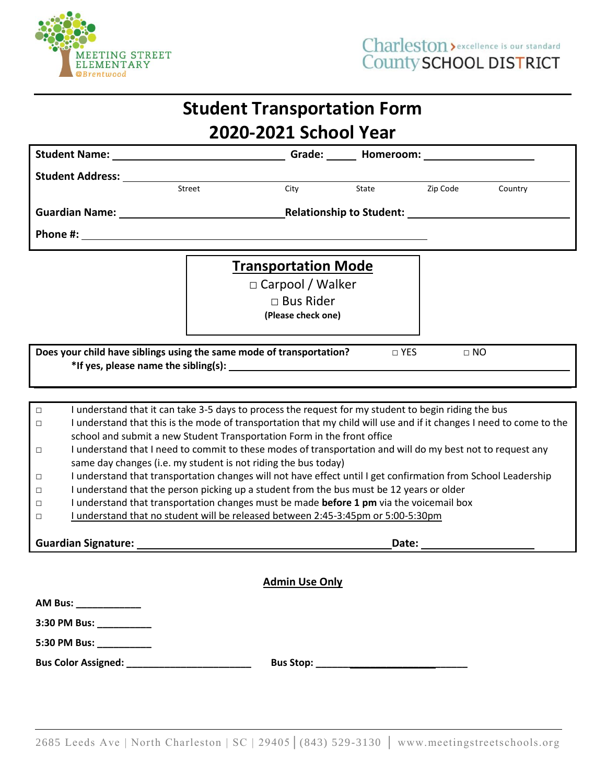

|                                                                    |                            |        | <b>Student Transportation Form</b>                                                                                                                                                                                                                                                                                                                                                                                                                                                                                                                                                                                                                                                                                                                                                                                                                                                 |       |                            |         |
|--------------------------------------------------------------------|----------------------------|--------|------------------------------------------------------------------------------------------------------------------------------------------------------------------------------------------------------------------------------------------------------------------------------------------------------------------------------------------------------------------------------------------------------------------------------------------------------------------------------------------------------------------------------------------------------------------------------------------------------------------------------------------------------------------------------------------------------------------------------------------------------------------------------------------------------------------------------------------------------------------------------------|-------|----------------------------|---------|
|                                                                    |                            |        | 2020-2021 School Year                                                                                                                                                                                                                                                                                                                                                                                                                                                                                                                                                                                                                                                                                                                                                                                                                                                              |       |                            |         |
|                                                                    |                            |        | Student Name: Cameroom: Cameroom: Cameroom: Cameroom: Cameroom: Cameroom: Cameroom: Cameroom: Cameroom: Cameroom: Cameroom: Cameroom: Cameroom: Cameroom: Cameroom: Cameroom: Cameroom: Cameroom: Cameroom: Cameroom: Cameroom                                                                                                                                                                                                                                                                                                                                                                                                                                                                                                                                                                                                                                                     |       |                            |         |
|                                                                    | <b>Student Address:</b>    |        |                                                                                                                                                                                                                                                                                                                                                                                                                                                                                                                                                                                                                                                                                                                                                                                                                                                                                    |       |                            |         |
|                                                                    |                            | Street | City                                                                                                                                                                                                                                                                                                                                                                                                                                                                                                                                                                                                                                                                                                                                                                                                                                                                               | State | Zip Code                   | Country |
|                                                                    |                            |        |                                                                                                                                                                                                                                                                                                                                                                                                                                                                                                                                                                                                                                                                                                                                                                                                                                                                                    |       |                            |         |
|                                                                    |                            |        |                                                                                                                                                                                                                                                                                                                                                                                                                                                                                                                                                                                                                                                                                                                                                                                                                                                                                    |       |                            |         |
|                                                                    |                            |        | <b>Transportation Mode</b><br>$\Box$ Carpool / Walker<br>$\Box$ Bus Rider<br>(Please check one)                                                                                                                                                                                                                                                                                                                                                                                                                                                                                                                                                                                                                                                                                                                                                                                    |       |                            |         |
|                                                                    |                            |        | Does your child have siblings using the same mode of transportation?                                                                                                                                                                                                                                                                                                                                                                                                                                                                                                                                                                                                                                                                                                                                                                                                               |       | $\square$ YES<br>$\Box$ NO |         |
| $\Box$<br>$\Box$<br>$\Box$<br>$\Box$<br>$\Box$<br>$\Box$<br>$\Box$ |                            |        | I understand that it can take 3-5 days to process the request for my student to begin riding the bus<br>I understand that this is the mode of transportation that my child will use and if it changes I need to come to the<br>school and submit a new Student Transportation Form in the front office<br>I understand that I need to commit to these modes of transportation and will do my best not to request any<br>same day changes (i.e. my student is not riding the bus today)<br>I understand that transportation changes will not have effect until I get confirmation from School Leadership<br>I understand that the person picking up a student from the bus must be 12 years or older<br>I understand that transportation changes must be made before 1 pm via the voicemail box<br>I understand that no student will be released between 2:45-3:45pm or 5:00-5:30pm |       |                            |         |
|                                                                    |                            |        |                                                                                                                                                                                                                                                                                                                                                                                                                                                                                                                                                                                                                                                                                                                                                                                                                                                                                    |       |                            |         |
|                                                                    |                            |        | <b>Admin Use Only</b>                                                                                                                                                                                                                                                                                                                                                                                                                                                                                                                                                                                                                                                                                                                                                                                                                                                              |       |                            |         |
|                                                                    | AM Bus: _____________      |        |                                                                                                                                                                                                                                                                                                                                                                                                                                                                                                                                                                                                                                                                                                                                                                                                                                                                                    |       |                            |         |
|                                                                    | 3:30 PM Bus: ___________   |        |                                                                                                                                                                                                                                                                                                                                                                                                                                                                                                                                                                                                                                                                                                                                                                                                                                                                                    |       |                            |         |
|                                                                    |                            |        |                                                                                                                                                                                                                                                                                                                                                                                                                                                                                                                                                                                                                                                                                                                                                                                                                                                                                    |       |                            |         |
|                                                                    | <b>Bus Color Assigned:</b> |        |                                                                                                                                                                                                                                                                                                                                                                                                                                                                                                                                                                                                                                                                                                                                                                                                                                                                                    |       |                            |         |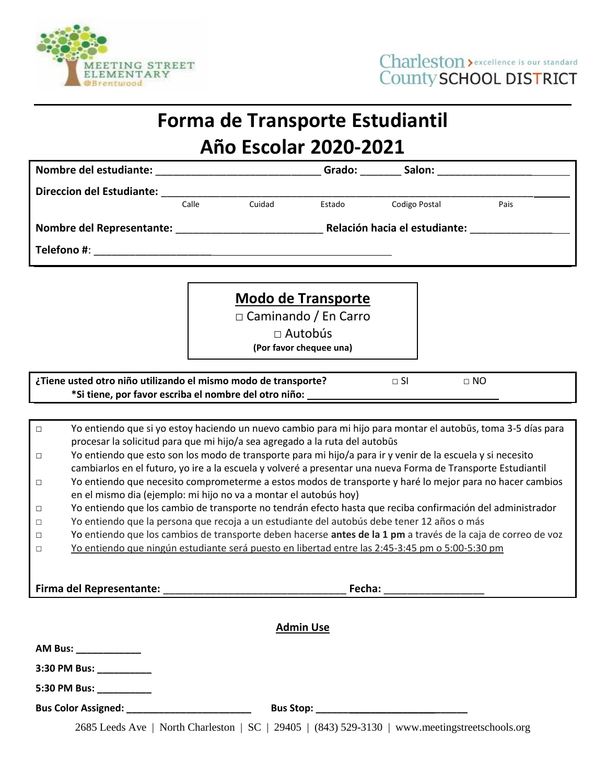

## **Forma de Transporte Estudiantil**

## **Año Escolar 2020-2021**

|                                                                                              |                                                                                                                                                                              |        |        | Grado: Salon: Salon: |                                                                                                              |  |  |  |  |  |  |
|----------------------------------------------------------------------------------------------|------------------------------------------------------------------------------------------------------------------------------------------------------------------------------|--------|--------|----------------------|--------------------------------------------------------------------------------------------------------------|--|--|--|--|--|--|
| <b>Direccion del Estudiante:</b><br><u> 1980 - Johann John Stone, mars eta biztanleria (</u> |                                                                                                                                                                              |        |        |                      |                                                                                                              |  |  |  |  |  |  |
|                                                                                              | Calle                                                                                                                                                                        | Cuidad | Estado | Codigo Postal        | Pais                                                                                                         |  |  |  |  |  |  |
|                                                                                              |                                                                                                                                                                              |        |        |                      |                                                                                                              |  |  |  |  |  |  |
|                                                                                              |                                                                                                                                                                              |        |        |                      |                                                                                                              |  |  |  |  |  |  |
|                                                                                              |                                                                                                                                                                              |        |        |                      |                                                                                                              |  |  |  |  |  |  |
|                                                                                              |                                                                                                                                                                              |        |        |                      |                                                                                                              |  |  |  |  |  |  |
|                                                                                              | <b>Modo de Transporte</b>                                                                                                                                                    |        |        |                      |                                                                                                              |  |  |  |  |  |  |
|                                                                                              | $\Box$ Caminando / En Carro                                                                                                                                                  |        |        |                      |                                                                                                              |  |  |  |  |  |  |
|                                                                                              | $\Box$ Autobús                                                                                                                                                               |        |        |                      |                                                                                                              |  |  |  |  |  |  |
|                                                                                              | (Por favor chequee una)                                                                                                                                                      |        |        |                      |                                                                                                              |  |  |  |  |  |  |
| ¿Tiene usted otro niño utilizando el mismo modo de transporte?<br>$\Box$ SI<br>$\Box$ NO     |                                                                                                                                                                              |        |        |                      |                                                                                                              |  |  |  |  |  |  |
| *Si tiene, por favor escriba el nombre del otro niño:                                        |                                                                                                                                                                              |        |        |                      |                                                                                                              |  |  |  |  |  |  |
|                                                                                              |                                                                                                                                                                              |        |        |                      |                                                                                                              |  |  |  |  |  |  |
| $\Box$                                                                                       |                                                                                                                                                                              |        |        |                      | Yo entiendo que si yo estoy haciendo un nuevo cambio para mi hijo para montar el autobūs, toma 3-5 días para |  |  |  |  |  |  |
|                                                                                              | procesar la solicitud para que mi hijo/a sea agregado a la ruta del autobūs                                                                                                  |        |        |                      |                                                                                                              |  |  |  |  |  |  |
| $\Box$                                                                                       | Yo entiendo que esto son los modo de transporte para mi hijo/a para ir y venir de la escuela y si necesito                                                                   |        |        |                      |                                                                                                              |  |  |  |  |  |  |
| $\Box$                                                                                       | cambiarlos en el futuro, yo ire a la escuela y volveré a presentar una nueva Forma de Transporte Estudiantil                                                                 |        |        |                      |                                                                                                              |  |  |  |  |  |  |
|                                                                                              | Yo entiendo que necesito comprometerme a estos modos de transporte y haré lo mejor para no hacer cambios<br>en el mismo dia (ejemplo: mi hijo no va a montar el autobús hoy) |        |        |                      |                                                                                                              |  |  |  |  |  |  |
| $\Box$                                                                                       | Yo entiendo que los cambio de transporte no tendrán efecto hasta que reciba confirmación del administrador                                                                   |        |        |                      |                                                                                                              |  |  |  |  |  |  |
| $\Box$                                                                                       | Yo entiendo que la persona que recoja a un estudiante del autobús debe tener 12 años o más                                                                                   |        |        |                      |                                                                                                              |  |  |  |  |  |  |
| $\Box$                                                                                       | Yo entiendo que los cambios de transporte deben hacerse antes de la 1 pm a través de la caja de correo de voz                                                                |        |        |                      |                                                                                                              |  |  |  |  |  |  |
| $\Box$                                                                                       | Yo entiendo que ningún estudiante será puesto en libertad entre las 2:45-3:45 pm o 5:00-5:30 pm                                                                              |        |        |                      |                                                                                                              |  |  |  |  |  |  |
|                                                                                              |                                                                                                                                                                              |        |        |                      |                                                                                                              |  |  |  |  |  |  |
|                                                                                              |                                                                                                                                                                              |        |        |                      |                                                                                                              |  |  |  |  |  |  |
| Firma del Representante:<br>Fecha:                                                           |                                                                                                                                                                              |        |        |                      |                                                                                                              |  |  |  |  |  |  |
|                                                                                              |                                                                                                                                                                              |        |        |                      |                                                                                                              |  |  |  |  |  |  |
| <b>Admin Use</b>                                                                             |                                                                                                                                                                              |        |        |                      |                                                                                                              |  |  |  |  |  |  |
| AM Bus: ______________                                                                       |                                                                                                                                                                              |        |        |                      |                                                                                                              |  |  |  |  |  |  |
| 3:30 PM Bus: __________                                                                      |                                                                                                                                                                              |        |        |                      |                                                                                                              |  |  |  |  |  |  |

**5:30 PM Bus: \_\_\_\_\_\_\_\_\_\_**

**Bus Color Assigned: \_\_\_\_\_\_\_\_\_\_\_\_\_\_\_\_\_\_\_\_\_\_\_ Bus Stop: \_\_\_\_\_\_\_\_\_\_\_\_\_\_\_\_\_\_\_\_\_\_\_\_\_\_\_\_**

2685 Leeds Ave | North Charleston | SC | 29405 | (843) 529-3130 | www.meetingstreetschools.org